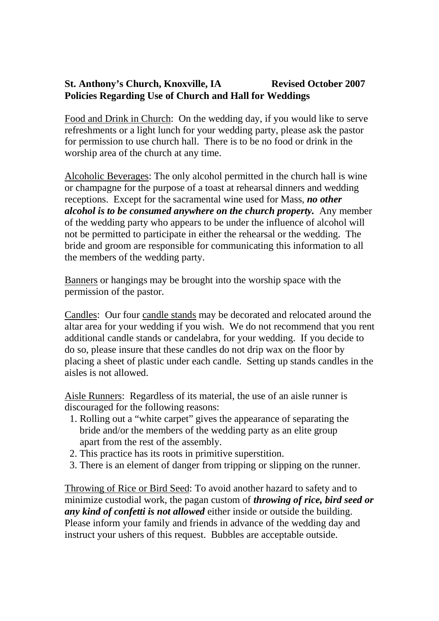## St. Anthony's Church, Knoxville, IA Revised October 2007 **Policies Regarding Use of Church and Hall for Weddings**

Food and Drink in Church: On the wedding day, if you would like to serve refreshments or a light lunch for your wedding party, please ask the pastor for permission to use church hall. There is to be no food or drink in the worship area of the church at any time.

Alcoholic Beverages: The only alcohol permitted in the church hall is wine or champagne for the purpose of a toast at rehearsal dinners and wedding receptions. Except for the sacramental wine used for Mass, *no other alcohol is to be consumed anywhere on the church property.* Any member of the wedding party who appears to be under the influence of alcohol will not be permitted to participate in either the rehearsal or the wedding. The bride and groom are responsible for communicating this information to all the members of the wedding party.

Banners or hangings may be brought into the worship space with the permission of the pastor.

Candles: Our four candle stands may be decorated and relocated around the altar area for your wedding if you wish. We do not recommend that you rent additional candle stands or candelabra, for your wedding. If you decide to do so, please insure that these candles do not drip wax on the floor by placing a sheet of plastic under each candle. Setting up stands candles in the aisles is not allowed.

Aisle Runners: Regardless of its material, the use of an aisle runner is discouraged for the following reasons:

- 1. Rolling out a "white carpet" gives the appearance of separating the bride and/or the members of the wedding party as an elite group apart from the rest of the assembly.
- 2. This practice has its roots in primitive superstition.
- 3. There is an element of danger from tripping or slipping on the runner.

Throwing of Rice or Bird Seed: To avoid another hazard to safety and to minimize custodial work, the pagan custom of *throwing of rice, bird seed or any kind of confetti is not allowed* either inside or outside the building. Please inform your family and friends in advance of the wedding day and instruct your ushers of this request. Bubbles are acceptable outside.